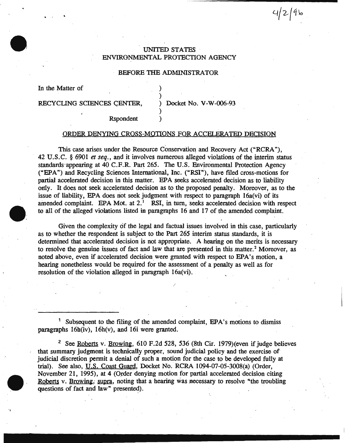# UNITED STATES ENVIRONMENTAL PROTECTION AGENCY

## BEFORE THE ADMINISTRATOR

) )

)

In the Matter of

. ,

RECYCLING SCIENCES CENTER, Docket No. V-W-006-93

 $4/2/9$ b

Rspondent )

### ORDER DENYING CROSS-MOTIONS FOR ACCELERATED DECISION

This case arises under the Resource Conservation and Recovery Act ("RCRA "), 42 U.S.C. § 6901 *et seq.,* and it involves numerous alleged violations of the interim status standards·appearing at 40 C.F.R. Part 265. The U.S. Environmental Protection Agency ("EPA") and Recycling Sciences International, Inc. ("RSI"), have filed cross-motions for partial accelerated decision in this matter. EPA seeks accelerated decision as to liability ordy. It does not seek accelerated decision as to the proposed penalty. Moreover, as to the issue of liability, EPA does not seek judgment with respect to paragraph 16a(vi) of its amended complaint. EPA Mot. at  $2<sup>1</sup>$  RSI, in turn, seeks accelerated decision with respect to all of the alleged violations listed in paragraphs 16 and 17 of the amended complaint.

Given the complexity of the legal and factual issues involved in this case, particularly as to whether the respondent is subject to the Part 265 interim status standards, it is determined that accelerated decision is not appropriate. A hearing on the merits is necessary to resolve the genuine issues of fact and law that are presented in this matter.<sup>2</sup> Moreover, as noted above, even if accelerated decision were granted with respect to EPA's motion, a hearing nonetheless would be required for the assessment of a penalty as well as for resolution of the violation alleged in paragraph 16a(vi).

I

<sup>1</sup> Subsequent to the filing of the amended complaint, EPA's motions to dismiss paragraphs 16h(iv), 16h(v), and 16i were granted.

<sup>2</sup> See <u>Roberts</u> v. Browing, 610 F.2d 528, 536 (8th Cir. 1979) (even if judge believes that summary judgment is technically proper, sound judicial policy and the exercise of judicial discretion permit a denial of such a motion for the case to be developed fully at trial). See also, U.S. Coast Guard, Docket No. RCRA l094-07-05-3008(a) (Order, November 21, 1995), at 4 (Order denying motion for partial accelerated decision citing Roberts v. Browing, supra, noting that a hearing was necessary to resolve "the troubling questions of fact and law" presented).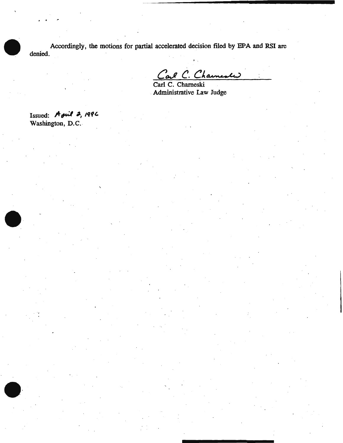Accordingly, the motions for partial accelerated decision filed by EPA and RSI are denied. ..

C. Charmester

Carl C. Chameski . Administrative Law Judge

Issued: A *ful* 2, 1996 Washington, D.C.

. .